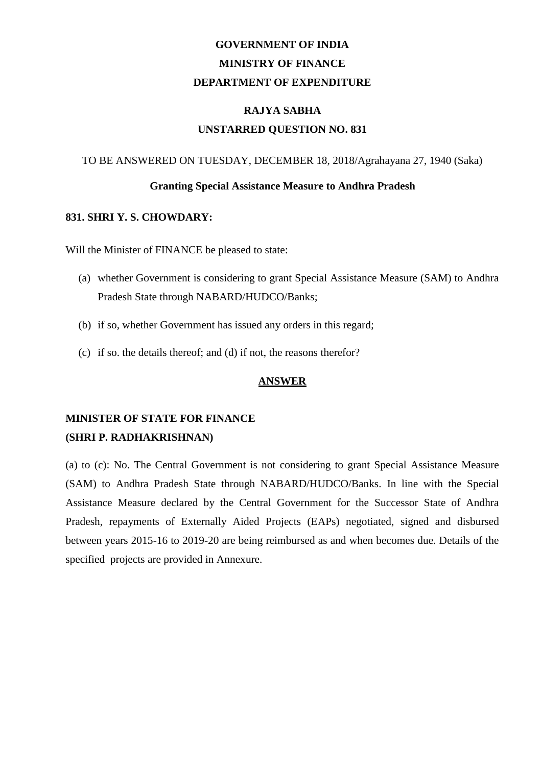# **GOVERNMENT OF INDIA MINISTRY OF FINANCE DEPARTMENT OF EXPENDITURE**

### **RAJYA SABHA UNSTARRED QUESTION NO. 831**

#### TO BE ANSWERED ON TUESDAY, DECEMBER 18, 2018/Agrahayana 27, 1940 (Saka)

#### **Granting Special Assistance Measure to Andhra Pradesh**

#### **831. SHRI Y. S. CHOWDARY:**

Will the Minister of FINANCE be pleased to state:

- (a) whether Government is considering to grant Special Assistance Measure (SAM) to Andhra Pradesh State through NABARD/HUDCO/Banks;
- (b) if so, whether Government has issued any orders in this regard;
- (c) if so. the details thereof; and (d) if not, the reasons therefor?

#### **ANSWER**

## **MINISTER OF STATE FOR FINANCE (SHRI P. RADHAKRISHNAN)**

(a) to (c): No. The Central Government is not considering to grant Special Assistance Measure (SAM) to Andhra Pradesh State through NABARD/HUDCO/Banks. In line with the Special Assistance Measure declared by the Central Government for the Successor State of Andhra Pradesh, repayments of Externally Aided Projects (EAPs) negotiated, signed and disbursed between years 2015-16 to 2019-20 are being reimbursed as and when becomes due. Details of the specified projects are provided in Annexure.